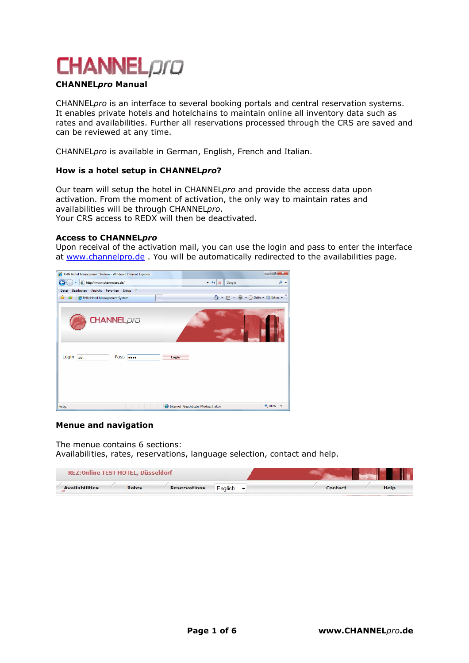

## CHANNELpro Manual

CHANNELpro is an interface to several booking portals and central reservation systems. It enables private hotels and hotelchains to maintain online all inventory data such as rates and availabilities. Further all reservations processed through the CRS are saved and can be reviewed at any time.

CHANNELpro is available in German, English, French and Italian.

### How is a hotel setup in CHANNELpro?

Our team will setup the hotel in CHANNELpro and provide the access data upon activation. From the moment of activation, the only way to maintain rates and availabilities will be through CHANNELpro. Your CRS access to REDX will then be deactivated.

### **Access to CHANNELpro**

Upon receival of the activation mail, you can use the login and pass to enter the interface at www.channelpro.de . You will be automatically redirected to the availabilities page.



### Menue and navigation

The menue contains 6 sections: Availabilities, rates, reservations, language selection, contact and help.

| <b>REZ:Online TEST HOTEL, Düsseldorf</b> |       |                     |                               |  |         |      |
|------------------------------------------|-------|---------------------|-------------------------------|--|---------|------|
| <b>Availabilities</b>                    | Rates | <b>Reservations</b> | English $\blacktriangleright$ |  | Contact | Help |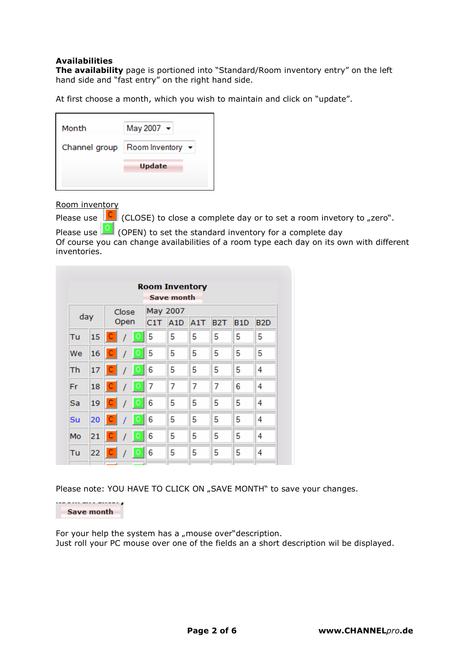# Availabilities

The availability page is portioned into "Standard/Room inventory entry" on the left hand side and "fast entry" on the right hand side.

At first choose a month, which you wish to maintain and click on "update".

| Month         | May 2007 -                           |
|---------------|--------------------------------------|
| Channel group | Room Inventory $\blacktriangleright$ |
|               | <b>Update</b>                        |
|               |                                      |

Room inventory

Please use  $\boxed{C}$  (CLOSE) to close a complete day or to set a room invetory to "zero".

Please use  $\boxed{\circ}$  (OPEN) to set the standard inventory for a complete day Of course you can change availabilities of a room type each day on its own with different inventories.

|     |    |             |                                                                                                                         |         |   | <b>Room Inventory</b><br>Save month |   |   |   |   |  |
|-----|----|-------------|-------------------------------------------------------------------------------------------------------------------------|---------|---|-------------------------------------|---|---|---|---|--|
| day |    |             | May 2007<br>Close<br>Open<br>C1T<br>A1T<br>A <sub>1</sub> D<br>B <sub>2</sub> T<br>B <sub>2</sub> D<br>B <sub>1</sub> D |         |   |                                     |   |   |   |   |  |
| Tu  | 15 | $\mathsf C$ |                                                                                                                         | Ō       | 5 | 5                                   | 5 | 5 | 5 | 5 |  |
| We  | 16 | c           |                                                                                                                         | Ø       | 5 | 5                                   | 5 | 5 | 5 | 5 |  |
| Th  | 17 | с           |                                                                                                                         | $\circ$ | 6 | 5                                   | 5 | 5 | 5 | 4 |  |
| Fr  | 18 | C           | 7                                                                                                                       | $\circ$ | 7 | 7                                   | 7 | 7 | 6 | 4 |  |
| Sa  | 19 | C           | 1                                                                                                                       | $\circ$ | 6 | 5                                   | 5 | 5 | 5 | 4 |  |
| Su  | 20 | c           |                                                                                                                         | $\circ$ | 6 | 5                                   | 5 | 5 | 5 | 4 |  |
| Mo  | 21 | с           |                                                                                                                         | Q       | 6 | 5                                   | 5 | 5 | 5 | 4 |  |
| Tu  | 22 | с           |                                                                                                                         | $\circ$ | 6 | 5                                   | 5 | 5 | 5 | 4 |  |

Please note: YOU HAVE TO CLICK ON "SAVE MONTH" to save your changes.

Save month

For your help the system has a "mouse over"description. Just roll your PC mouse over one of the fields an a short description wil be displayed.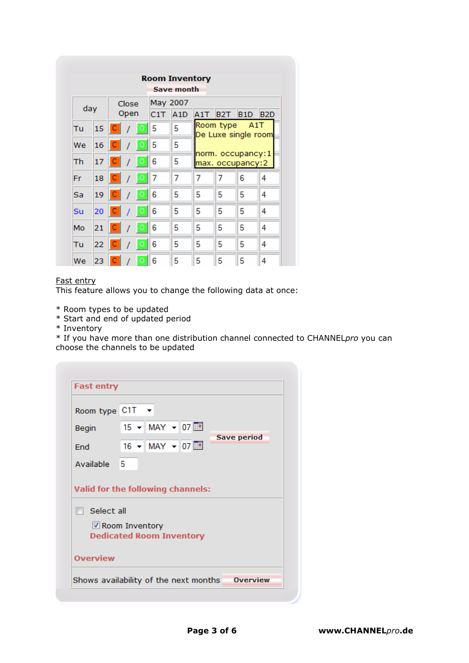|     |    |      |       |           |          | <b>Room Inventory</b> |                                                              |           |     |                  |  |  |  |
|-----|----|------|-------|-----------|----------|-----------------------|--------------------------------------------------------------|-----------|-----|------------------|--|--|--|
|     |    |      |       |           |          | Save month            |                                                              |           |     |                  |  |  |  |
|     |    |      | Close |           | May 2007 |                       |                                                              |           |     |                  |  |  |  |
| day |    | Open |       |           | C1T      | A1D                   | A1T                                                          | B2T.      | B1D | B <sub>2</sub> D |  |  |  |
| Tu  | 15 | C    |       | $\circ$   | 5        | 5                     |                                                              | Room type | A1T |                  |  |  |  |
| We  | 16 | C    |       | $\bullet$ | 5        | 5                     | De Luxe single room<br>norm. occupancy:1<br>max. occupancy:2 |           |     |                  |  |  |  |
| Th  | 17 | c    |       | $\bullet$ | 6        | 5                     |                                                              |           |     |                  |  |  |  |
| Fr  | 18 | с    |       | $\circ$   | 7        | 7                     | 7                                                            | 7         | 6   | 4                |  |  |  |
| Sa  | 19 | c    |       | $\circ$   | 6        | 5                     | 5                                                            | 5         | 5   | 4                |  |  |  |
| Su  | 20 | С    |       | $\circ$   | 6        | 5                     | 5                                                            | 5         | 5   | 4                |  |  |  |
| Mo  | 21 | c    |       | $\circ$   | 6        | 5                     | 5                                                            | 5         | 5   | 4                |  |  |  |
| Tu  | 22 | c    |       | $\bullet$ | 6        | 5                     | 5                                                            | 5         | 5   | 4                |  |  |  |
| We  | 23 |      |       |           | 6        | 5                     | 5                                                            | 5         | 5   | 4                |  |  |  |

## Fast entry

This feature allows you to change the following data at once:

- \* Room types to be updated
- \* Start and end of updated period
- \* Inventory

\* If you have more than one distribution channel connected to CHANNELpro you can choose the channels to be updated

| Room type C1T ▼   |                                                   |
|-------------------|---------------------------------------------------|
| <b>Begin</b>      | $15 - \text{MAY} - 07$                            |
| End               | Save period<br>$16 - \text{MAY} - 07$             |
| Available 5       |                                                   |
|                   |                                                   |
| $\Box$ Select all | Valid for the following channels:                 |
|                   | Room Inventory<br><b>Dedicated Room Inventory</b> |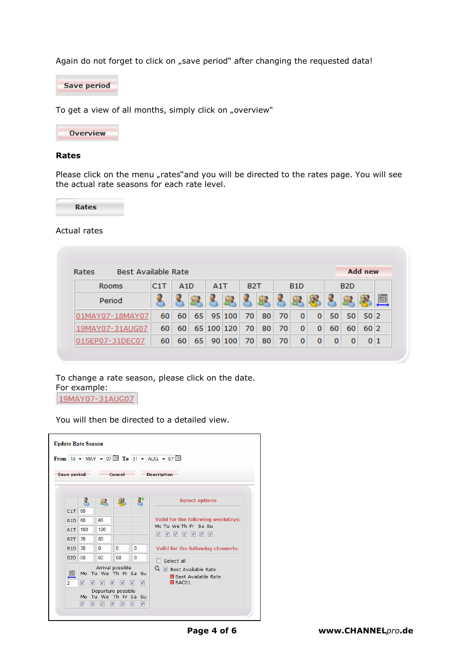Again do not forget to click on "save period" after changing the requested data!

**Save period** 

To get a view of all months, simply click on "overview"



#### Rates

Please click on the menu "rates"and you will be directed to the rates page. You will see the actual rate seasons for each rate level.



### Actual rates

| <b>Best Available Rate</b><br>Rates |     |                  |    |     |            |                  |    |    |                  |   |    |                  | <b>Add new</b> |   |
|-------------------------------------|-----|------------------|----|-----|------------|------------------|----|----|------------------|---|----|------------------|----------------|---|
| Rooms                               | C1T | A <sub>1</sub> D |    | A1T |            | B <sub>2</sub> T |    |    | B <sub>1</sub> D |   |    | B <sub>2</sub> D |                |   |
| Period                              |     |                  |    |     |            |                  |    |    |                  |   |    |                  |                | 圃 |
| Y07-18MAY07                         | 60  | 60               | 65 |     | 95 100     | 70               | 80 | 70 | 0                | 0 | 50 | 50               | 50 2           |   |
| MAY07-31AUG07                       | 60  | 60               |    |     | 65 100 120 | 70               | 80 | 70 | 0                | 0 | 60 | 60               | 60 2           |   |
| 01SEP07-31DEC07                     | 60  | 60               | 65 |     | 90 100     | 70               | 80 | 70 | 0                | 0 | 0  | 0                | 0 1            |   |

To change a rate season, please click on the date. For example:

19MAY07-31AUG07

**Update Rate Season** From 19  $\star$  MAY  $\star$  07 **III** To 31  $\star$  AUG  $\star$  07 **III Save period** Cancel Description  $\mathbf{g}$ **Select options** 人 83 暴 C1T 60 Valid for the following weekdays: A1D 60 65 Mo Tu We Th Fr Sa Su A1T 100 120  $\begin{array}{c|c|c|c|c|c} \hline \textbf{v} & \textbf{v} & \textbf{v} & \textbf{v} \\ \hline \textbf{v} & \textbf{v} & \textbf{v} & \textbf{v} & \textbf{v} \\ \hline \end{array}$ **B2T** 70 80 **B1D** 70  $\overline{\mathbf{0}}$  $\overline{\mathbf{0}}$  $\overline{\mathbf{0}}$ Valid for the following channels:  $\overline{0}$ **B2D** 60 60 60  $\Box$  Select all Arrival possible  $Q \nsubseteq$  Best Available Rate 圃 Mo Tu We Th Fr Sa Su ■ Best Available Rate<br>■ RAC01 0000000  $\overline{2}$ Departure possible Mo Tu We Th Fr Sa Su 

You will then be directed to a detailed view.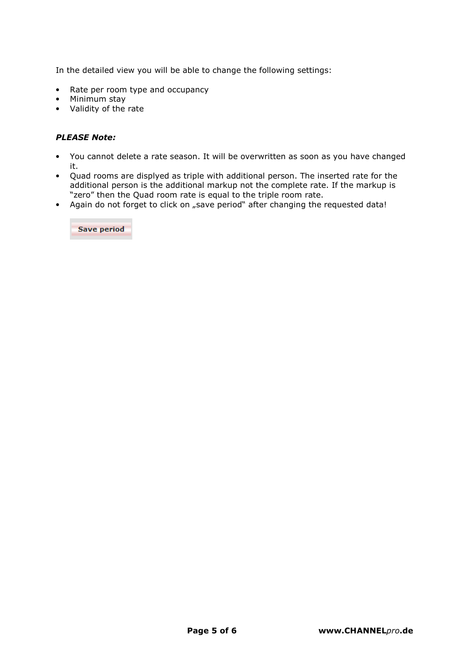In the detailed view you will be able to change the following settings:

- Rate per room type and occupancy
- Minimum stay
- Validity of the rate

# PLEASE Note:

- You cannot delete a rate season. It will be overwritten as soon as you have changed it.
- Quad rooms are displyed as triple with additional person. The inserted rate for the additional person is the additional markup not the complete rate. If the markup is "zero" then the Quad room rate is equal to the triple room rate.
- Again do not forget to click on "save period" after changing the requested data!